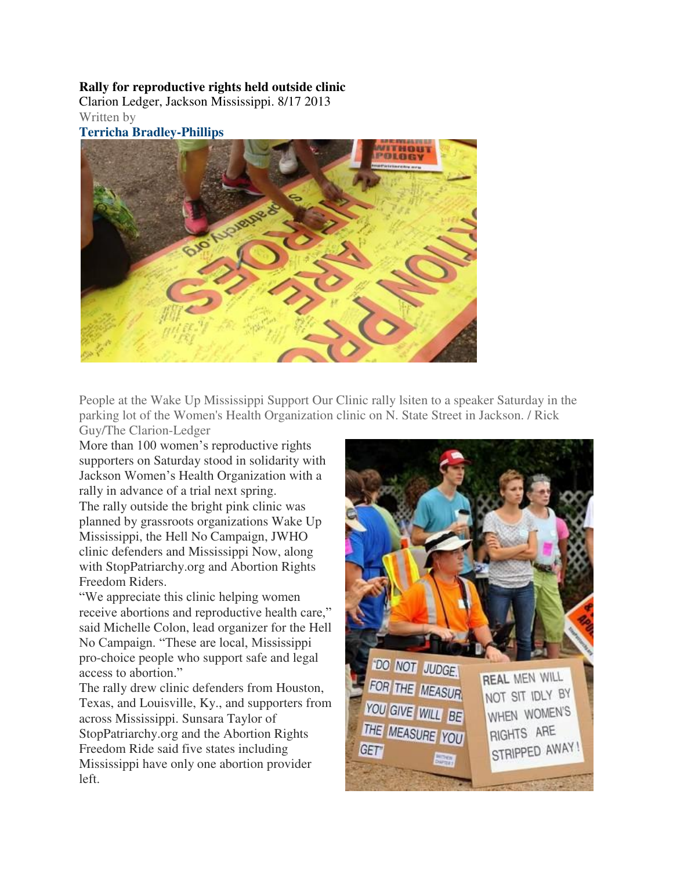## **Rally for reproductive rights held outside clinic**

Clarion Ledger, Jackson Mississippi. 8/17 2013 Written by

**[Terricha Bradley-Phillips](mailto:tbradley@jackson.gannett.com)** 



People at the Wake Up Mississippi Support Our Clinic rally lsiten to a speaker Saturday in the parking lot of the Women's Health Organization clinic on N. State Street in Jackson. / Rick Guy/The Clarion-Ledger

More than 100 women's reproductive rights supporters on Saturday stood in solidarity with Jackson Women's Health Organization with a rally in advance of a trial next spring. The rally outside the bright pink clinic was planned by grassroots organizations Wake Up Mississippi, the Hell No Campaign, JWHO clinic defenders and Mississippi Now, along with StopPatriarchy.org and Abortion Rights Freedom Riders.

"We appreciate this clinic helping women receive abortions and reproductive health care," said Michelle Colon, lead organizer for the Hell No Campaign. "These are local, Mississippi pro-choice people who support safe and legal access to abortion."

The rally drew clinic defenders from Houston, Texas, and Louisville, Ky., and supporters from across Mississippi. Sunsara Taylor of StopPatriarchy.org and the Abortion Rights Freedom Ride said five states including Mississippi have only one abortion provider left.